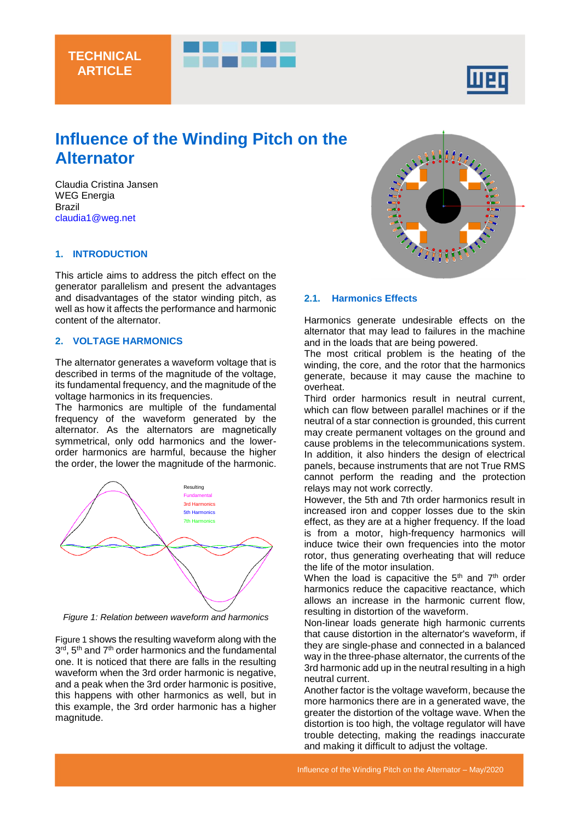

# **Influence of the Winding Pitch on the Alternator**

Claudia Cristina Jansen WEG Energia Brazil [claudia1@weg.net](mailto:claudia1@weg.net)

#### **1. INTRODUCTION**

This article aims to address the pitch effect on the generator parallelism and present the advantages and disadvantages of the stator winding pitch, as well as how it affects the performance and harmonic content of the alternator.

## **2. VOLTAGE HARMONICS**

The alternator generates a waveform voltage that is described in terms of the magnitude of the voltage, its fundamental frequency, and the magnitude of the voltage harmonics in its frequencies.

The harmonics are multiple of the fundamental frequency of the waveform generated by the alternator. As the alternators are magnetically symmetrical, only odd harmonics and the lowerorder harmonics are harmful, because the higher the order, the lower the magnitude of the harmonic.



<span id="page-0-0"></span>*Figure 1: Relation between waveform and harmonics*

[Figure 1](#page-0-0) shows the resulting waveform along with the 3<sup>rd</sup>, 5<sup>th</sup> and 7<sup>th</sup> order harmonics and the fundamental one. It is noticed that there are falls in the resulting waveform when the 3rd order harmonic is negative, and a peak when the 3rd order harmonic is positive, this happens with other harmonics as well, but in this example, the 3rd order harmonic has a higher magnitude.



#### **2.1. Harmonics Effects**

Harmonics generate undesirable effects on the alternator that may lead to failures in the machine and in the loads that are being powered.

The most critical problem is the heating of the winding, the core, and the rotor that the harmonics generate, because it may cause the machine to overheat.

Third order harmonics result in neutral current, which can flow between parallel machines or if the neutral of a star connection is grounded, this current may create permanent voltages on the ground and cause problems in the telecommunications system. In addition, it also hinders the design of electrical panels, because instruments that are not True RMS cannot perform the reading and the protection relays may not work correctly.

However, the 5th and 7th order harmonics result in increased iron and copper losses due to the skin effect, as they are at a higher frequency. If the load is from a motor, high-frequency harmonics will induce twice their own frequencies into the motor rotor, thus generating overheating that will reduce the life of the motor insulation.

When the load is capacitive the  $5<sup>th</sup>$  and  $7<sup>th</sup>$  order harmonics reduce the capacitive reactance, which allows an increase in the harmonic current flow, resulting in distortion of the waveform.

Non-linear loads generate high harmonic currents that cause distortion in the alternator's waveform, if they are single-phase and connected in a balanced way in the three-phase alternator, the currents of the 3rd harmonic add up in the neutral resulting in a high neutral current.

Another factor is the voltage waveform, because the more harmonics there are in a generated wave, the greater the distortion of the voltage wave. When the distortion is too high, the voltage regulator will have trouble detecting, making the readings inaccurate and making it difficult to adjust the voltage.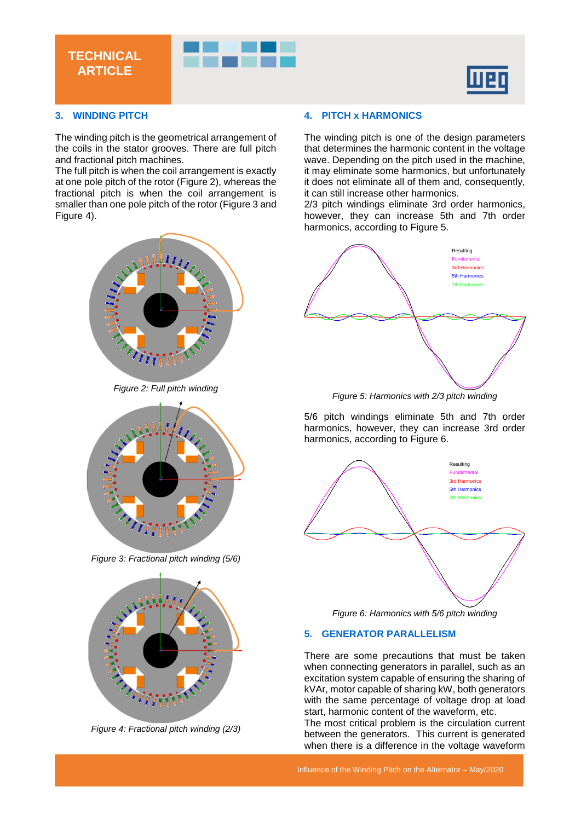



# **3. WINDING PITCH**

**TECHNICAL ARTICLE**

The winding pitch is the geometrical arrangement of the coils in the stator grooves. There are full pitch and fractional pitch machines.

The full pitch is when the coil arrangement is exactly at one pole pitch of the rotor [\(Figure 2\)](#page-1-0), whereas the fractional pitch is when the coil arrangement is smaller than one pole pitch of the rotor [\(Figure 3](#page-1-1) and [Figure 4\)](#page-1-2).



*Figure 2: Full pitch winding*

<span id="page-1-0"></span>

*Figure 3: Fractional pitch winding (5/6)*

<span id="page-1-1"></span>

<span id="page-1-2"></span>*Figure 4: Fractional pitch winding (2/3)*

## **4. PITCH x HARMONICS**

The winding pitch is one of the design parameters that determines the harmonic content in the voltage wave. Depending on the pitch used in the machine, it may eliminate some harmonics, but unfortunately it does not eliminate all of them and, consequently, it can still increase other harmonics.

2/3 pitch windings eliminate 3rd order harmonics, however, they can increase 5th and 7th order harmonics, according to [Figure 5.](#page-1-3)



*Figure 5: Harmonics with 2/3 pitch winding*

<span id="page-1-3"></span>5/6 pitch windings eliminate 5th and 7th order harmonics, however, they can increase 3rd order harmonics, according to [Figure 6.](#page-1-4)



*Figure 6: Harmonics with 5/6 pitch winding*

#### <span id="page-1-4"></span>**5. GENERATOR PARALLELISM**

There are some precautions that must be taken when connecting generators in parallel, such as an excitation system capable of ensuring the sharing of kVAr, motor capable of sharing kW, both generators with the same percentage of voltage drop at load start, harmonic content of the waveform, etc.

The most critical problem is the circulation current between the generators. This current is generated when there is a difference in the voltage waveform